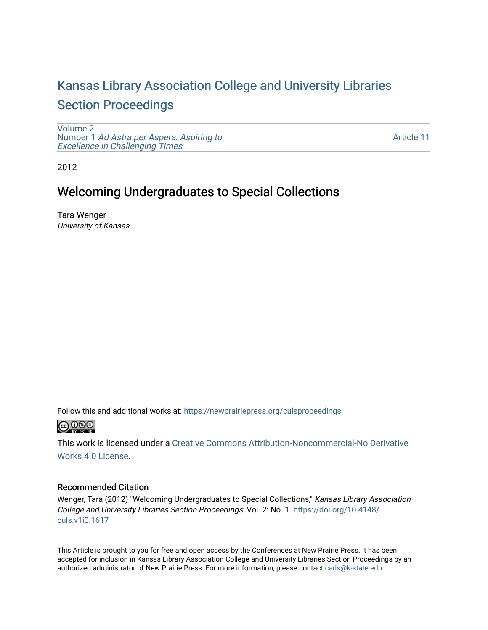# [Kansas Library Association College and University Libraries](https://newprairiepress.org/culsproceedings)  [Section Proceedings](https://newprairiepress.org/culsproceedings)

[Volume 2](https://newprairiepress.org/culsproceedings/vol2) Number 1 [Ad Astra per Aspera: Aspiring to](https://newprairiepress.org/culsproceedings/vol2/iss1)  Excellence in Challenging Times

[Article 11](https://newprairiepress.org/culsproceedings/vol2/iss1/11) 

2012

## Welcoming Undergraduates to Special Collections

Tara Wenger University of Kansas

Follow this and additional works at: [https://newprairiepress.org/culsproceedings](https://newprairiepress.org/culsproceedings?utm_source=newprairiepress.org%2Fculsproceedings%2Fvol2%2Fiss1%2F11&utm_medium=PDF&utm_campaign=PDFCoverPages)



This work is licensed under a [Creative Commons Attribution-Noncommercial-No Derivative](https://creativecommons.org/licenses/by-nc-nd/4.0/)  [Works 4.0 License](https://creativecommons.org/licenses/by-nc-nd/4.0/).

#### Recommended Citation

Wenger, Tara (2012) "Welcoming Undergraduates to Special Collections," Kansas Library Association College and University Libraries Section Proceedings: Vol. 2: No. 1. [https://doi.org/10.4148/](https://doi.org/10.4148/culs.v1i0.1617) [culs.v1i0.1617](https://doi.org/10.4148/culs.v1i0.1617) 

This Article is brought to you for free and open access by the Conferences at New Prairie Press. It has been accepted for inclusion in Kansas Library Association College and University Libraries Section Proceedings by an authorized administrator of New Prairie Press. For more information, please contact [cads@k-state.edu.](mailto:cads@k-state.edu)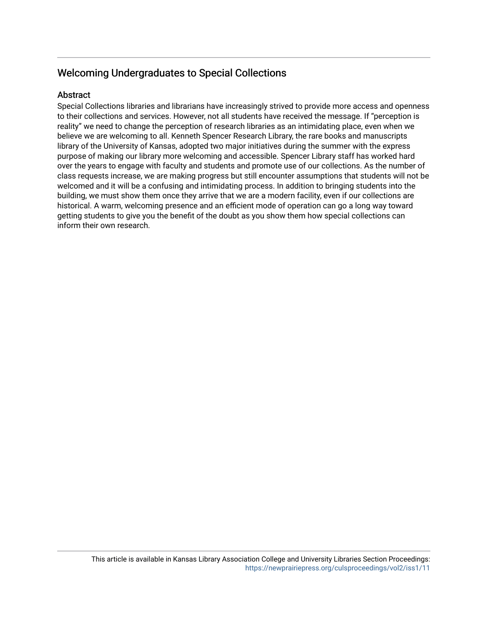### Welcoming Undergraduates to Special Collections

#### Abstract

Special Collections libraries and librarians have increasingly strived to provide more access and openness to their collections and services. However, not all students have received the message. If "perception is reality" we need to change the perception of research libraries as an intimidating place, even when we believe we are welcoming to all. Kenneth Spencer Research Library, the rare books and manuscripts library of the University of Kansas, adopted two major initiatives during the summer with the express purpose of making our library more welcoming and accessible. Spencer Library staff has worked hard over the years to engage with faculty and students and promote use of our collections. As the number of class requests increase, we are making progress but still encounter assumptions that students will not be welcomed and it will be a confusing and intimidating process. In addition to bringing students into the building, we must show them once they arrive that we are a modern facility, even if our collections are historical. A warm, welcoming presence and an efficient mode of operation can go a long way toward getting students to give you the benefit of the doubt as you show them how special collections can inform their own research.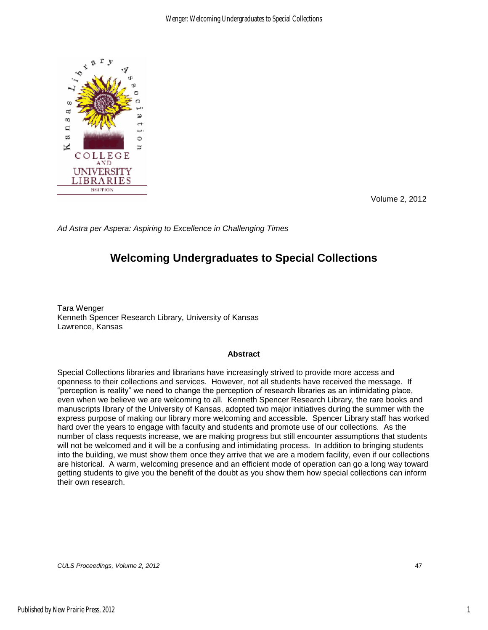

Volume 2, 2012

*Ad Astra per Aspera: Aspiring to Excellence in Challenging Times* 

## **Welcoming Undergraduates to Special Collections**

Tara Wenger Kenneth Spencer Research Library, University of Kansas Lawrence, Kansas

#### **Abstract**

Special Collections libraries and librarians have increasingly strived to provide more access and openness to their collections and services. However, not all students have received the message. If "perception is reality" we need to change the perception of research libraries as an intimidating place, even when we believe we are welcoming to all. Kenneth Spencer Research Library, the rare books and manuscripts library of the University of Kansas, adopted two major initiatives during the summer with the express purpose of making our library more welcoming and accessible. Spencer Library staff has worked hard over the years to engage with faculty and students and promote use of our collections. As the number of class requests increase, we are making progress but still encounter assumptions that students will not be welcomed and it will be a confusing and intimidating process. In addition to bringing students into the building, we must show them once they arrive that we are a modern facility, even if our collections are historical. A warm, welcoming presence and an efficient mode of operation can go a long way toward getting students to give you the benefit of the doubt as you show them how special collections can inform their own research.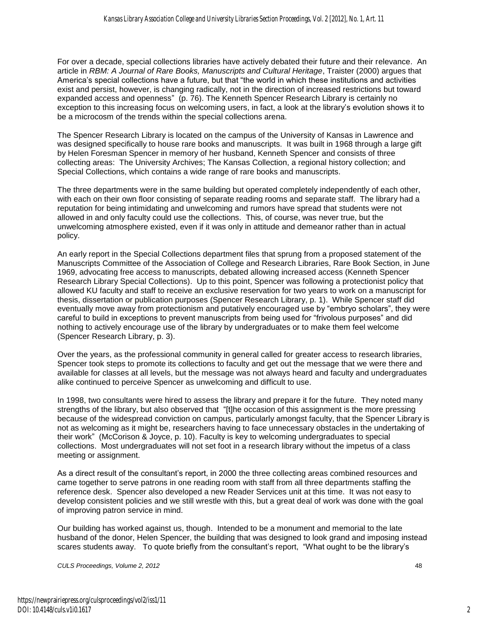For over a decade, special collections libraries have actively debated their future and their relevance. An article in *RBM: A Journal of Rare Books, Manuscripts and Cultural Heritage*, Traister (2000) argues that America's special collections have a future, but that "the world in which these institutions and activities exist and persist, however, is changing radically, not in the direction of increased restrictions but toward expanded access and openness" (p. 76). The Kenneth Spencer Research Library is certainly no exception to this increasing focus on welcoming users, in fact, a look at the library's evolution shows it to be a microcosm of the trends within the special collections arena.

The Spencer Research Library is located on the campus of the University of Kansas in Lawrence and was designed specifically to house rare books and manuscripts. It was built in 1968 through a large gift by Helen Foresman Spencer in memory of her husband, Kenneth Spencer and consists of three collecting areas: The University Archives; The Kansas Collection, a regional history collection; and Special Collections, which contains a wide range of rare books and manuscripts.

The three departments were in the same building but operated completely independently of each other, with each on their own floor consisting of separate reading rooms and separate staff. The library had a reputation for being intimidating and unwelcoming and rumors have spread that students were not allowed in and only faculty could use the collections. This, of course, was never true, but the unwelcoming atmosphere existed, even if it was only in attitude and demeanor rather than in actual policy.

An early report in the Special Collections department files that sprung from a proposed statement of the Manuscripts Committee of the Association of College and Research Libraries, Rare Book Section, in June 1969, advocating free access to manuscripts, debated allowing increased access (Kenneth Spencer Research Library Special Collections). Up to this point, Spencer was following a protectionist policy that allowed KU faculty and staff to receive an exclusive reservation for two years to work on a manuscript for thesis, dissertation or publication purposes (Spencer Research Library, p. 1). While Spencer staff did eventually move away from protectionism and putatively encouraged use by "embryo scholars", they were careful to build in exceptions to prevent manuscripts from being used for "frivolous purposes" and did nothing to actively encourage use of the library by undergraduates or to make them feel welcome (Spencer Research Library, p. 3).

Over the years, as the professional community in general called for greater access to research libraries, Spencer took steps to promote its collections to faculty and get out the message that we were there and available for classes at all levels, but the message was not always heard and faculty and undergraduates alike continued to perceive Spencer as unwelcoming and difficult to use.

In 1998, two consultants were hired to assess the library and prepare it for the future. They noted many strengths of the library, but also observed that "[t]he occasion of this assignment is the more pressing because of the widespread conviction on campus, particularly amongst faculty, that the Spencer Library is not as welcoming as it might be, researchers having to face unnecessary obstacles in the undertaking of their work" (McCorison & Joyce, p. 10). Faculty is key to welcoming undergraduates to special collections. Most undergraduates will not set foot in a research library without the impetus of a class meeting or assignment.

As a direct result of the consultant's report, in 2000 the three collecting areas combined resources and came together to serve patrons in one reading room with staff from all three departments staffing the reference desk. Spencer also developed a new Reader Services unit at this time. It was not easy to develop consistent policies and we still wrestle with this, but a great deal of work was done with the goal of improving patron service in mind.

Our building has worked against us, though. Intended to be a monument and memorial to the late husband of the donor, Helen Spencer, the building that was designed to look grand and imposing instead scares students away. To quote briefly from the consultant's report, "What ought to be the library's

*CULS Proceedings, Volume 2, 2012* 48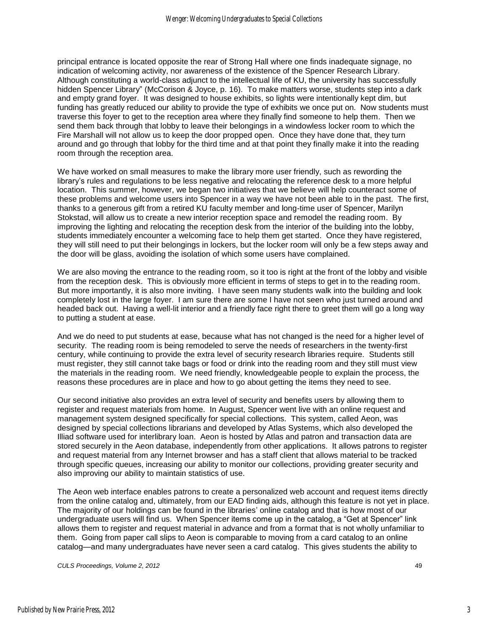principal entrance is located opposite the rear of Strong Hall where one finds inadequate signage, no indication of welcoming activity, nor awareness of the existence of the Spencer Research Library. Although constituting a world-class adjunct to the intellectual life of KU, the university has successfully hidden Spencer Library" (McCorison & Joyce, p. 16). To make matters worse, students step into a dark and empty grand foyer. It was designed to house exhibits, so lights were intentionally kept dim, but funding has greatly reduced our ability to provide the type of exhibits we once put on. Now students must traverse this foyer to get to the reception area where they finally find someone to help them. Then we send them back through that lobby to leave their belongings in a windowless locker room to which the Fire Marshall will not allow us to keep the door propped open. Once they have done that, they turn around and go through that lobby for the third time and at that point they finally make it into the reading room through the reception area.

We have worked on small measures to make the library more user friendly, such as rewording the library's rules and regulations to be less negative and relocating the reference desk to a more helpful location. This summer, however, we began two initiatives that we believe will help counteract some of these problems and welcome users into Spencer in a way we have not been able to in the past. The first, thanks to a generous gift from a retired KU faculty member and long-time user of Spencer, Marilyn Stokstad, will allow us to create a new interior reception space and remodel the reading room. By improving the lighting and relocating the reception desk from the interior of the building into the lobby, students immediately encounter a welcoming face to help them get started. Once they have registered, they will still need to put their belongings in lockers, but the locker room will only be a few steps away and the door will be glass, avoiding the isolation of which some users have complained.

We are also moving the entrance to the reading room, so it too is right at the front of the lobby and visible from the reception desk. This is obviously more efficient in terms of steps to get in to the reading room. But more importantly, it is also more inviting. I have seen many students walk into the building and look completely lost in the large foyer. I am sure there are some I have not seen who just turned around and headed back out. Having a well-lit interior and a friendly face right there to greet them will go a long way to putting a student at ease.

And we do need to put students at ease, because what has not changed is the need for a higher level of security. The reading room is being remodeled to serve the needs of researchers in the twenty-first century, while continuing to provide the extra level of security research libraries require. Students still must register, they still cannot take bags or food or drink into the reading room and they still must view the materials in the reading room. We need friendly, knowledgeable people to explain the process, the reasons these procedures are in place and how to go about getting the items they need to see.

Our second initiative also provides an extra level of security and benefits users by allowing them to register and request materials from home. In August, Spencer went live with an online request and management system designed specifically for special collections. This system, called Aeon, was designed by special collections librarians and developed by Atlas Systems, which also developed the Illiad software used for interlibrary loan. Aeon is hosted by Atlas and patron and transaction data are stored securely in the Aeon database, independently from other applications. It allows patrons to register and request material from any Internet browser and has a staff client that allows material to be tracked through specific queues, increasing our ability to monitor our collections, providing greater security and also improving our ability to maintain statistics of use.

The Aeon web interface enables patrons to create a personalized web account and request items directly from the online catalog and, ultimately, from our EAD finding aids, although this feature is not yet in place. The majority of our holdings can be found in the libraries' online catalog and that is how most of our undergraduate users will find us. When Spencer items come up in the catalog, a "Get at Spencer" link allows them to register and request material in advance and from a format that is not wholly unfamiliar to them. Going from paper call slips to Aeon is comparable to moving from a card catalog to an online catalog—and many undergraduates have never seen a card catalog. This gives students the ability to

*CULS Proceedings, Volume 2, 2012* 49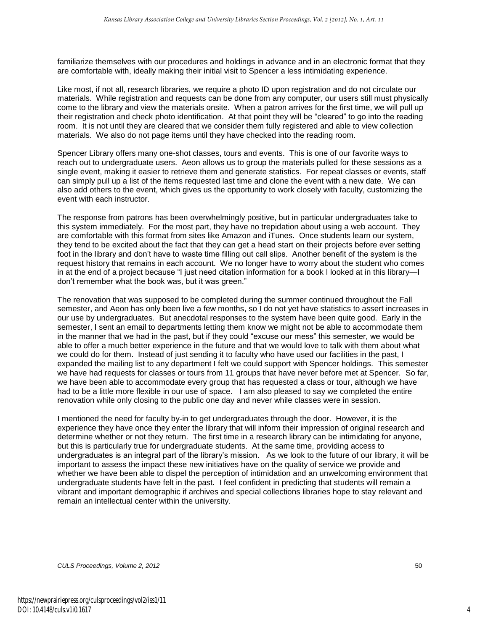familiarize themselves with our procedures and holdings in advance and in an electronic format that they are comfortable with, ideally making their initial visit to Spencer a less intimidating experience.

Like most, if not all, research libraries, we require a photo ID upon registration and do not circulate our materials. While registration and requests can be done from any computer, our users still must physically come to the library and view the materials onsite. When a patron arrives for the first time, we will pull up their registration and check photo identification. At that point they will be "cleared" to go into the reading room. It is not until they are cleared that we consider them fully registered and able to view collection materials. We also do not page items until they have checked into the reading room.

Spencer Library offers many one-shot classes, tours and events. This is one of our favorite ways to reach out to undergraduate users. Aeon allows us to group the materials pulled for these sessions as a single event, making it easier to retrieve them and generate statistics. For repeat classes or events, staff can simply pull up a list of the items requested last time and clone the event with a new date. We can also add others to the event, which gives us the opportunity to work closely with faculty, customizing the event with each instructor.

The response from patrons has been overwhelmingly positive, but in particular undergraduates take to this system immediately. For the most part, they have no trepidation about using a web account. They are comfortable with this format from sites like Amazon and iTunes. Once students learn our system, they tend to be excited about the fact that they can get a head start on their projects before ever setting foot in the library and don't have to waste time filling out call slips. Another benefit of the system is the request history that remains in each account. We no longer have to worry about the student who comes in at the end of a project because "I just need citation information for a book I looked at in this library—I don't remember what the book was, but it was green."

The renovation that was supposed to be completed during the summer continued throughout the Fall semester, and Aeon has only been live a few months, so I do not yet have statistics to assert increases in our use by undergraduates. But anecdotal responses to the system have been quite good. Early in the semester, I sent an email to departments letting them know we might not be able to accommodate them in the manner that we had in the past, but if they could "excuse our mess" this semester, we would be able to offer a much better experience in the future and that we would love to talk with them about what we could do for them. Instead of just sending it to faculty who have used our facilities in the past, I expanded the mailing list to any department I felt we could support with Spencer holdings. This semester we have had requests for classes or tours from 11 groups that have never before met at Spencer. So far, we have been able to accommodate every group that has requested a class or tour, although we have had to be a little more flexible in our use of space. I am also pleased to say we completed the entire renovation while only closing to the public one day and never while classes were in session.

I mentioned the need for faculty by-in to get undergraduates through the door. However, it is the experience they have once they enter the library that will inform their impression of original research and determine whether or not they return. The first time in a research library can be intimidating for anyone, but this is particularly true for undergraduate students. At the same time, providing access to undergraduates is an integral part of the library's mission. As we look to the future of our library, it will be important to assess the impact these new initiatives have on the quality of service we provide and whether we have been able to dispel the perception of intimidation and an unwelcoming environment that undergraduate students have felt in the past. I feel confident in predicting that students will remain a vibrant and important demographic if archives and special collections libraries hope to stay relevant and remain an intellectual center within the university.